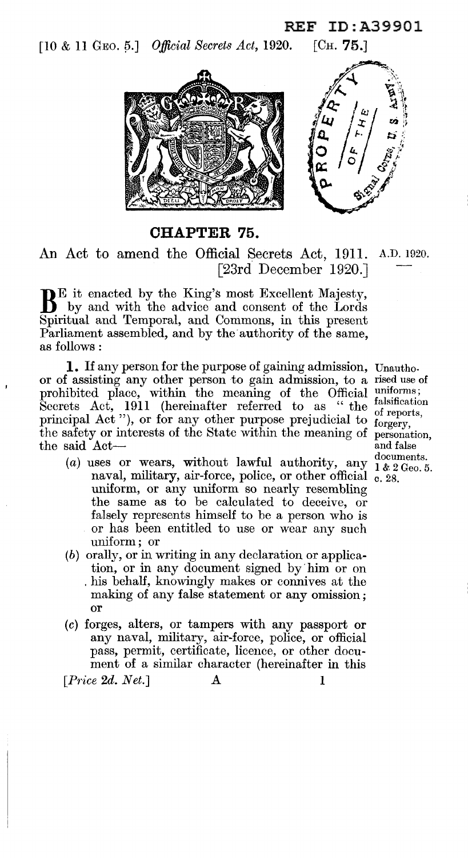REF ID:A39901 [10 & 11 GEO. 5.] *Official Secrets Act*, 1920. [CH. **75.**]



# **CHAPTER** 75.

An Act to amend the Official Secrets Act, 1911. A.D. 1920. [23rd December 1920.J

DE it enacted by the King's most Excellent Majesty, by and with the advice and consent of the Lords Spiritual and Temporal, and Commons, in this present Parliament assembled, and by the authority of the same, as follows:

1. If any person for the purpose of gaining admission, Unauthoor of assisting any other person to gain admission, to a rised use of prohibited place, within the meaning of the Official uniforms; Secrets Act, 1911 (hereinafter referred to as " the principal Act"), or for any other purpose prejudicial to  $\frac{0.1 \text{ Tepol}}{\text{forgery}}$ the safety or interests of the State within the meaning of personation, the said Act-

- $(a)$  uses or wears, without lawful authority, any naval, military, air-force, police, or other official  $\frac{1}{c}$ , 28. uniform, or any uniform so nearly resembling the same as to be calculated to deceive, or falsely represents himself to be a person who is or has been entitled to use or wear any such uniform; or
- (b) orally, or in writing in any declaration or application, or in any document signed by· him or on . his behalf, knowingly makes or connives at the making of any false statement or any omission ; or
- ( c) forges, alters, or tampers with any passport or any naval, military, air-force, police, or official pass, permit, certificate, licence, or other document of a similar character (hereinafter in this

*[Price* 2d. *Net.]* A 1

falsification of reports, and false documents. 1 & 2 Geo. 5.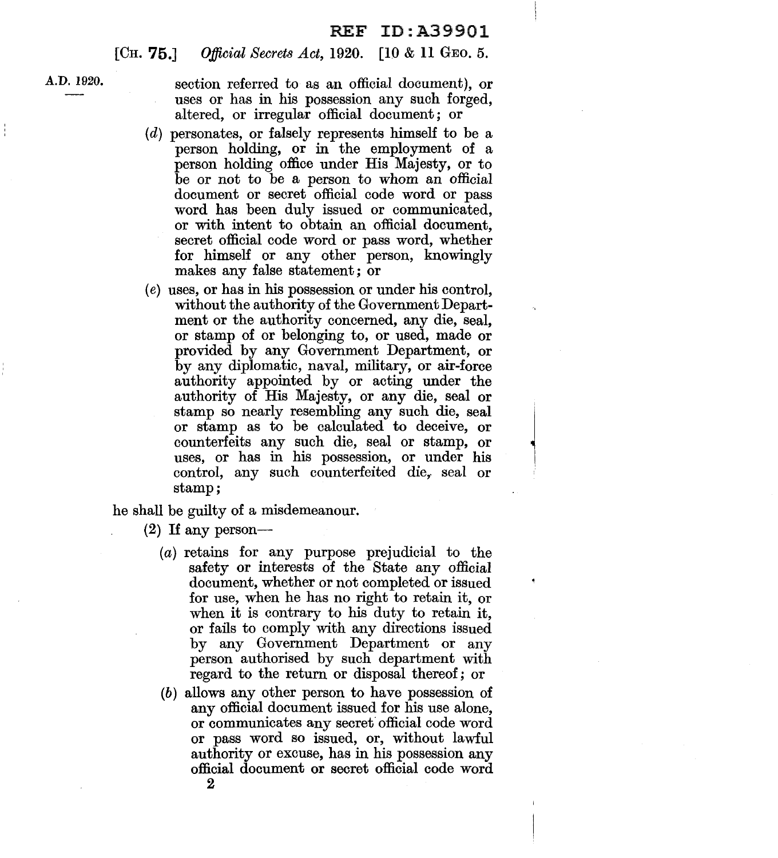#### $[CH. 75.]$ *Official Secrets Act,* 1920. [10 & 11 GEO. 5.]

A.D. 1920. section referred to as an official document), or uses or has in his possession any such forged, altered, or irregular official document; or

- (d) personates, or falsely represents himself to be a person holding, or in the employment of a person holding office under His Majesty, or to be or not to be a person to whom an official document or secret official code word or pass word has been duly issued or communicated, or with intent to obtain an official document, secret official code word or pass word, whether for himself or any other person, knowingly makes any false statement; or
- ( e) uses, or has in his possession or under his control, without the authority of the Government Department or the authority concerned, any die, seal, or stamp of or belonging to, or used, made or provided by any Government Department, or by any diplomatic, naval, military, or air-force authority appointed by or acting under the authority of His Majesty, or any die, seal or stamp so nearly resembling any such die, seal or stamp as to be calculated to deceive, or counterfeits any such die, seal or stamp, or uses, or has in his possession, or under his control, any such counterfeited die, seal or stamp;

he shall be guilty of a misdemeanour.

 $(2)$  If any person-

- (a) retains for any purpose prejudicial to the safety or interests of the State any official document, whether or not completed or issued for use, when he has no right to retain it, or when it is contrary to his duty to retain it, or fails to comply with any directions issued by any Government Department or any person authorised by such department with regard to the return or disposal thereof ; or
- $(b)$  allows any other person to have possession of any official document issued for his use alone, or communicates any secret· official code word or pass word so issued, or, without lawful authority or excuse, has in his possession any official document or secret official code word 2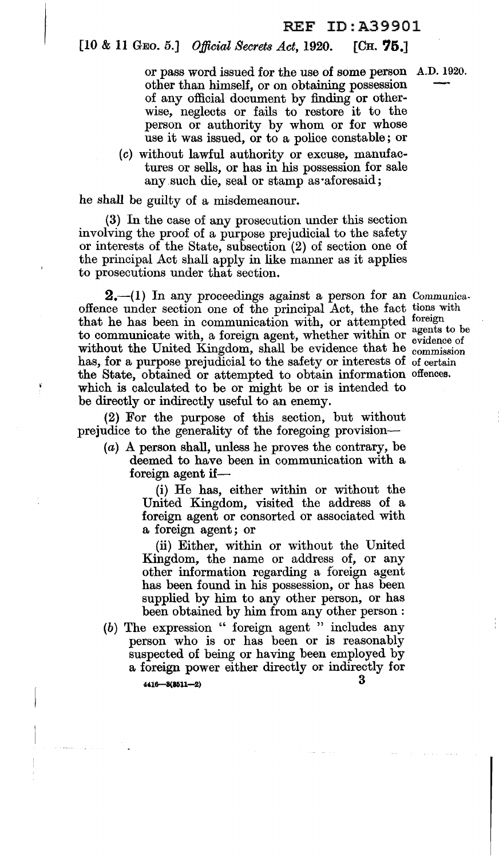[IO & **11** GEO. 5.] *Official Secrets Act,* 1920. [CH. **75.]** 

or pass word issued for the use of some person A.D. 1920. other than himself, or on obtaining possession of any official document by finding or otherwise, neglects or fails to restore it to the person or authority by whom or for whose use it was issued, or to a police constable; or

(c) without lawful authority or excuse, manufactures or sells, or has in his possession for sale any such die, seal or stamp as aforesaid;

he shall be guilty of a misdemeanour.

( 3) In the case of any prosecution under this section involving the proof of a purpose prejudicial to the safety or interests of the State, subsection (2) of section one of the principal Act shall apply in like manner as it applies to prosecutions under that section.

2.-(1) In any proceedings against a person for an Communicaoffence under section one of the principal Act, the fact tions with that he has been in communication with, or attempted foreign to communicate with, a foreign agent, whether within or evidence of experts to be without the United Kingdom, shall be evidence that he commission has, for a purpose prejudicial to the safety or interests of of certain the State, obtained or attempted to obtain information offences. which is calculated to be or might be or is intended to be directly or indirectly useful to an enemy.

(2) For the purpose of this section, but without prejudice to the generality of the foregoing provision-

 $(a)$  A person shall, unless he proves the contrary, be deemed to have been in communication with a foreign agent if-

> (i) He has, either within or without the United Kingdom, visited the address of a foreign agent or consorted or associated with a foreign agent ; or

> (ii) Either, within or without the United Kingdom, the name or address of, or any other information regarding a foreign agent has been found in his possession, or has been supplied by him to any other person, or has been obtained by him from any other person :

(b) The expression " foreign agent " includes any person who is or has been or is reasonably suspected of being or having been employed by a foreign power either directly or indirectly for 3  $4416 - 8(8511 - 2)$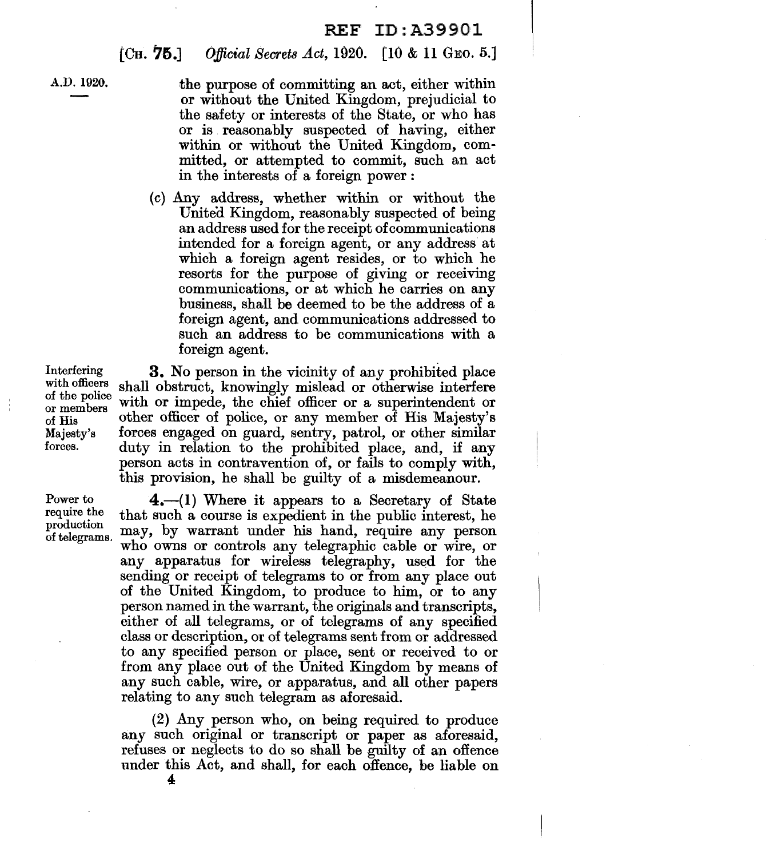#### $[CH. 75.]$ *Official Secrets Act,* 1920. [10 & 11 GEO. 5.]

A.D. 1020.

the purpose of committing an act, either within or without the United Kingdom, prejudicial to the safety or interests of the State, or who has or is reasonably suspected of having, either within or without the United Kingdom, committed, or attempted to commit, such an act in the interests of a foreign power:

(c) Any address, whether within or without the United Kingdom, reasonably suspected of being an address used for the receipt ofcommunications intended for a foreign agent, or any address at which a foreign agent resides, or to which he resorts for the purpose of giving or receiving communications, or at which he carries on any business, shall be deemed to be the address of a foreign agent, and communications addressed to such an address to be communications with a foreign agent.

Power to require the production of telegrams.

Interfering **3.** No person in the vicinity of any prohibited place with officers shall obstruct, knowingly mislead or otherwise interfere of the police  $\ldots$  in property of the police  $\ldots$ of the police with or impede, the chief officer or a superintendent or of His other officer of police, or any member of His Majesty's Majesty's forces engaged on guard, sentry, patrol, or other similar<br>forces. That in relation to the probibited place and if any duty in relation to the prohibited place, and, if any person acts in contravention of, or fails to comply with, this provision, he shall be guilty of a misdemeanour.

 $4$ .-(1) Where it appears to a Secretary of State that such a course is expedient in the public interest, he may, by warrant under his hand, require any person who owns or controls any telegraphic cable or wire, or any apparatus for wireless telegraphy, used for the sending or receipt of telegrams to or from any place out of the United Kingdom, to produce to him, or to any person named in the warrant, the originals and transcripts, either of all telegrams, or of telegrams of any specified class or description, or of telegrams sent from or addressed to any specified person or place, sent or received to or from any place out of the United Kingdom by means of any such cable, wire, or apparatus, and all other papers relating to any such telegram as aforesaid.

(2) Any person who, on being required to produce any such original or transcript or paper as aforesaid, refuses or neglects to do so shall be guilty of an offence under this Act, and shall, for each offence, be liable on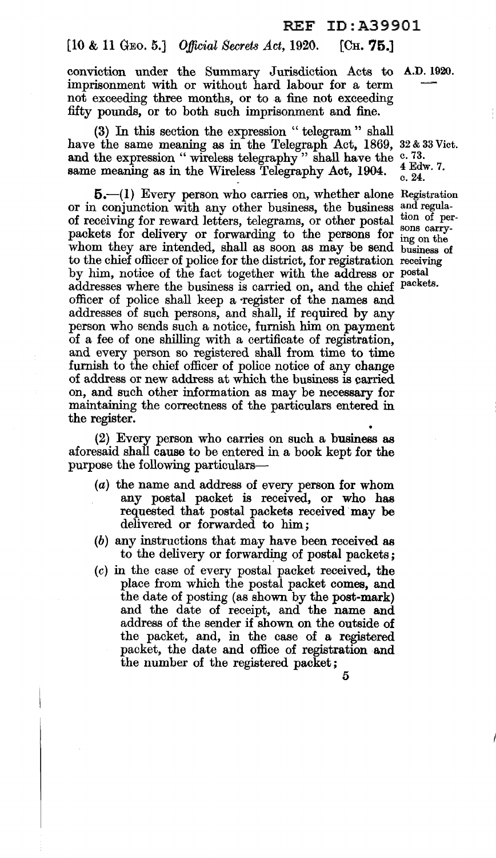# [10 & 11 GEO. 5.] *Official Secrets Act*, 1920. [CH. **75.**]

conviction under the Summary Jurisdiction Acts to A.D. 1920. imprisonment with or without hard labour for a term not exceeding three months, or to a fine not exceeding fifty pounds, or to both such imprisonment and fine.

(3) In this section the expression "telegram" shall have the same meaning as in the Telegraph Act, 1869, 32 & 33 Vict. and the expression " wireless telegraphy" shall have the  $c. 73$ . same meaning as in the Wireless Telegraphy Act, 1904.  $^{4}_{0.24}$ 

 $5.$ -(1) Every person who carries on, whether alone Registration or in conjunction with any other business, the business and regulaof receiving for reward letters, telegrams, or other postal tion of perpackets for delivery or forwarding to the persons for  $~^{\text{sons}}_{\text{ing on the}}$ whom they are intended, shall as soon as may be send business of to the chief officer of police for the district, for registration receiving by him, notice of the fact together with the address or postal addresses where the business is carried on, and the chief packets. officer of police shall keep a ·register of the names and addresses of such persons, and shall, if required by any person who sends such a notice, furnish him on payment of a fee of one shilling with a certificate of registration, and every person so registered shall from time to time furnish to the chief officer of police notice of any change of address or new address at which the business is carried on, and such other information as may be necessary for maintaining the correctness of the particulars entered in the register.

(2) Every person who carries on such a business as aforesaid shall cause to be entered in a book kept for the purpose the following particulars-

- (a) the name and address of every person for whom any postal packet is received, or who has requested that postal packets received may be delivered or forwarded to him;
- (b) any instructions that may have been received as to the delivery or forwarding of postal packets;
- $(c)$  in the case of every postal packet received, the place from which the postal packet comes, and the date of posting (as shown by the post-mark) and the date of receipt, and the name and address of the sender if shown on the outside of the packet, and, in the case of a registered packet, the date and office of registration and the number of the registered packet;

5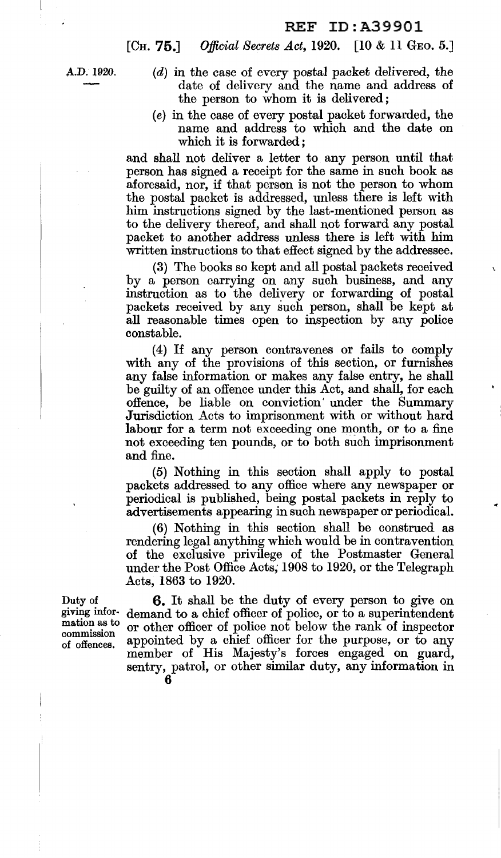$\sqrt{2}$ 

[CH. **75.]** *Official Secrets Act*, 1920. [10 & 11 GEO. 5.]

A.D. l920.

- $(d)$  in the case of every postal packet delivered, the date of delivery and the name and address of the person to whom it is delivered;
- ( e) in the case of every postal packet forwarded, the name and address to which and the date on which it is forwarded;

and shall not deliver a letter to any person until that person has signed a receipt for the same in such book as aforesaid, nor, if that person is not the person to whom the postal packet is addressed, unless there is left with him instructions signed by the last-mentioned person as to the delivery thereof, and shall not forward any postal packet to another address unless there is left with him written instructions to that effect signed by the addressee.

(3) The books so kept and all postal packets received by a person carrying on any such business, and any instruction as to the delivery or forwarding of postal packets received by any such person, shall be kept at all reasonable times open to inspection by any police constable.

(4) If any person contravenes or fails to comply with any of the provisions of this section, or furnishes any false information or makes any false entry, he shall be guilty of an offence under this Act, and shall, for each offence, be liable on conviction under the Summary Jurisdiction Acts to imprisonment with or without hard labour for a term not exceeding one month, or to a fine not exceeding ten pounds, or to both such imprisonment and fine.

(5) Nothing in this section shall apply to postal packets addressed to any office where any newspaper or periodical is published, being postal packets in reply to advertisements appearing in such newspaper or periodical.

( 6) Nothing in this section shall be construed as rendering legal anything which would be in contravention of the exclusive privilege of the Postmaster General under the Post Office Acts; 1908 to 1920, or the Telegraph Acts, 1863 to 1920.

Duty of giving information as to commission of offences.

6. It shall be the duty of every person to give on demand to a chief officer of police, or to a superintendent or other officer of police not below the rank of inspector appointed by a chief officer for the purpose, or to any member of His Majesty's forces engaged on guard, sentry, patrol, or other similar duty, any information in 6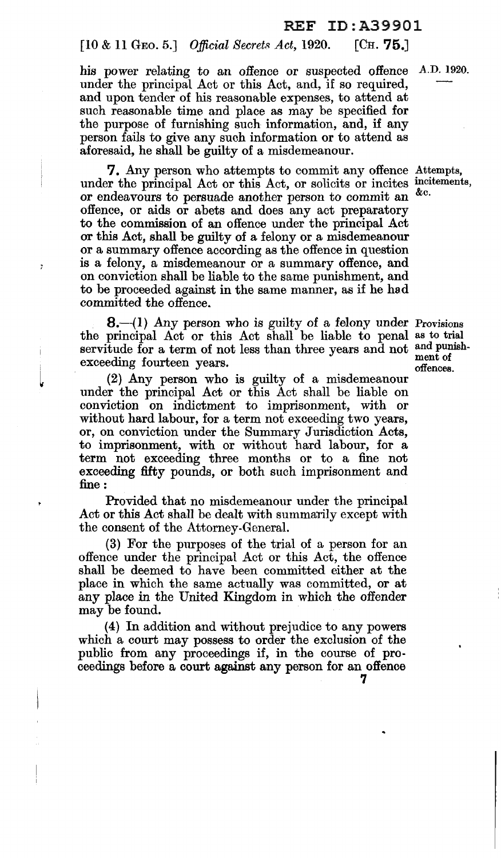# [10 & 11 GEo. 5.] *Official Secret8 Act,* 1920. [CH. **75.]**

his power relating to an offence or suspected offence A.D. 1920. under the principal Act or this Act, and, if so required, and upon tender of his reasonable expenses, to attend at such reasonable time and place as may be specified for the purpose of furnishing such information, and, if any person fails to give any such information or to attend as aforesaid, he shall be guilty of a misdemeanour.

**7.** Any person who attempts to commit any offence Attempts, under the principal Act or this Act, or solicits or incites incitements, or endeavours to persuade another person to commit an &c. offence, or aids or abets and does any act preparatory to the commission of an offence under the principal Act or this Act, shall be guilty of a felony or a misdemeanour or a summary offence according as the offence in question is a felony, a misdemeanour or a summary offence, and on conviction shall be liable to the same punishment, and to be proceeded against in the same manner, as if he had committed the offence.

 $\overline{a}$ 

 $8-(1)$  Any person who is guilty of a felony under Provisions the principal Act or this Act shall be liable to penal as to trial servitude for a term of not less than three years and not and punishexceeding fourteen years. Then  $\alpha$  is the context.

(2) Any person who is guilty of a misdemeanour under the principal Act or this Act shall be liable on conviction on indictment to imprisonment, with or without hard labour, for a term not exceeding two years, or, on conviction under the Summary Jurisdiction Acts, to imprisonment, with or without hard labour, for a term not exceeding three months or to a fine not exceeding fifty pounds, or both such imprisonment and fine:

Provided that no misdemeanour under the principal Act or this Act shall be dealt with summarily except with the consent of the Attorney -General.

(3) For the purposes of the trial of a person for an offence under the principal Act or this Act, the offence shall be deemed to have been committed either at the place in which the same actually was committed, or at any place in the United Kingdom in which the offender may be found.

(4) In addition and without prejudice to any powers which a court may possess to order the exclusion of the public from any proceedings if, in the course of proceedings before a court against any person for an offence **7**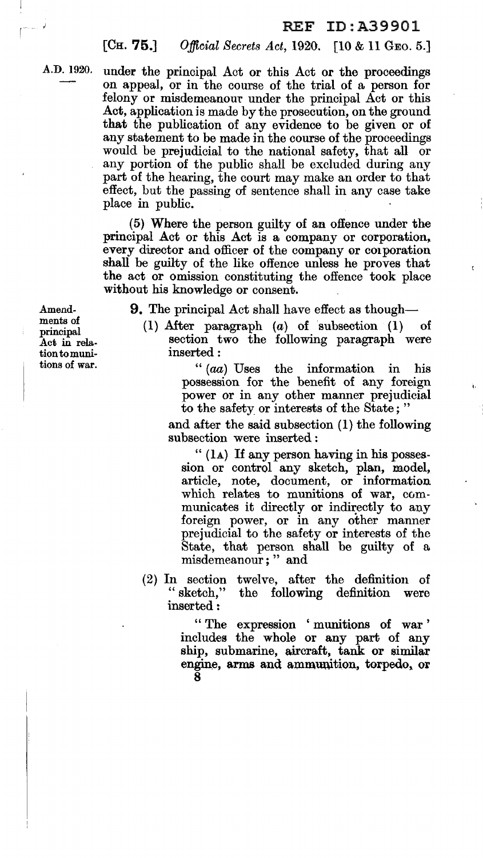### $[CH. 75.]$ *Official Secrets Act,* 1920. [10 & 11 GEO. 5.]

A.D. 1920. under the principal Act or this Act or the proceedings on appeal, or in the course of the trial of a person for felony or misdemeanour under the principal Act or this Act, application is made by the prosecution, on the ground that the publication of any evidence to be given or of any statement to be made in the course of the proceedings would be prejudicial to the national safety, that all or any portion of the public shall be excluded during any part of the hearing, the court may make an order to that effect, but the passing of sentence shall in any case take place in public.

> (5) Where the person guilty of an offence under the principal Act or this Act is a company or corporation, every director and officer of the company or co1 poration shall be guilty of the like offence unless he proves that the act or omission constituting the offence took place without his knowledge or consent.

9. The principal Act shall have effect as though-

(1) After paragraph (a) of subsection (1) of section two the following paragraph were inserted:

> "  $(aa)$  Uses the information in his possession for the benefit of any foreign power or in any other manner prejudicial to the safety or interests of the State; "

,,

 $\mathbf{r}$ 

and after the said subsection  $(1)$  the following subsection were inserted :

" (1A) If any person having in his possession or control any sketch, plan, model, article, note, document, or information which relates to munitions of war, communicates it directly or indirectly to any foreign power, or in any other manner prejudicial to the safety or interests of the State, that person shall be guilty of a misdemeanour; " and

(2) In section twelve, after the definition of the following definition were inserted:

> "The expression 'munitions of war' includes the whole or any part of any ship, submarine, aircraft, tank or similar engine, arms and ammunition, torpedo, or 8

Amendments of principal Act in relation to munitions of war.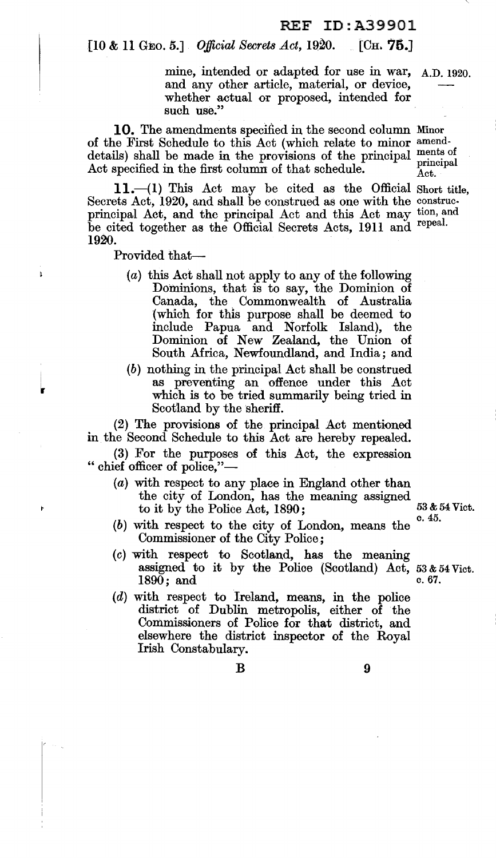[10 & 11 GEO. 5.] *Official Secrets Act*, 1920. [CH. **75.**]

mine, intended or adapted for use in war, A.D. 1920. and any other article, material, or device, whether actual or proposed, intended for such use."

**10.** The amendments specified in the second column Minor of the First Schedule to this Act (which relate to minor amenddetails) shall be made in the provisions of the principal ments of Act specified in the first column of that schedule.  $\frac{\text{pnm}}{\text{Act}}$ 

11.-(1) This Act may be cited as the Official Short title, Secrets Act, 1920, and shall be construed as one with the construe. principal Act, and the principal Act and this Act may tion, and be cited together as the Official Secrets Acts, 1911 and repeal. 1920.

Provided that-

b

- (*a*) this Act shall not apply to any of the following Dominions, that is to say, the Dominion of Canada, the Commonwealth of Australia (which for this purpose shall be deemed to include Papua and Norfolk Island), the include Papua and Norfolk Island), Dominion of New Zealand, the Union of South Africa, Newfoundland, and India; and
- (b) nothing in the principal Act shall be construed as preventing an offence under this Act which is to be tried summarily being tried in Scotland by the sheriff.

(2) The provisions of the principal Act mentioned in the Second Schedule to this Act are hereby repealed.

(3) For the purposes of this Act, the expression "chief officer of police,"-

- (*a*) with respect to any place in England other than the city of London, has the meaning assigned to it by the Police Act, 1890; 53 & 54 Vict.
- $(b)$  with respect to the city of London, means the Commissioner of the City Police ;
- ( c) with respect to Scotland, has the meaning assigned to it by the Police (Scotland) Act,  $53 \& 54$  Vict.<br>1890 and  $0.67$ .  $1890:$  and
- $(d)$  with respect to Ireland, means, in the police district of Dublin metropolis, either of the Commissioners of Police for that district, and elsewhere the district inspector of the Royal Irish Constabulary.

**B** 9

c. 45.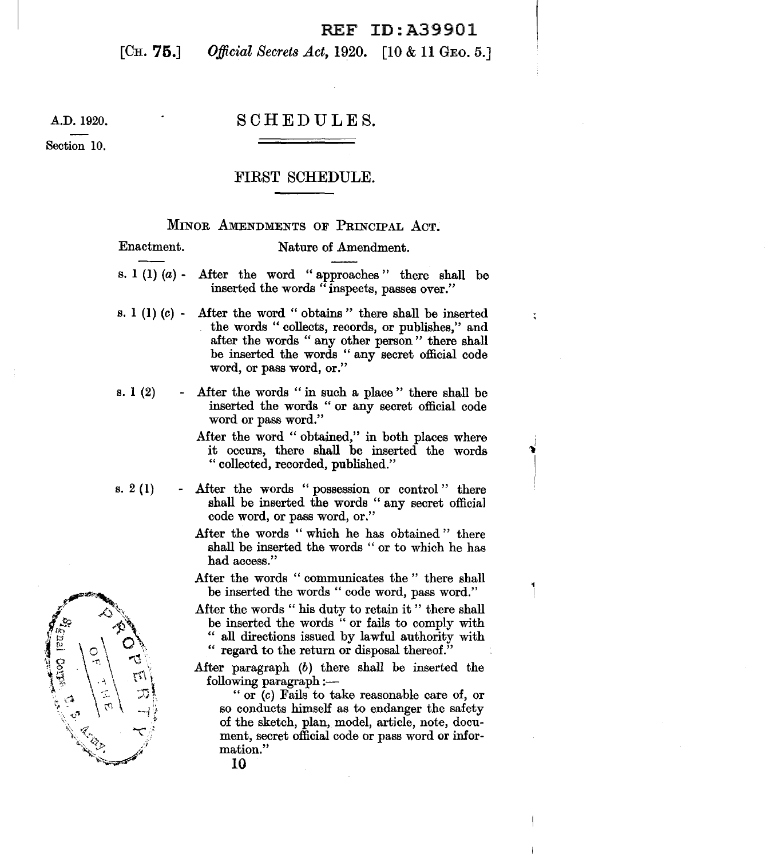[CH. **75.]**  *Official Secrets Act, 1920.* [10 & 11 GEO. 5.]

A.D. 1920.

### SCHEDULES.

Section 10.

### FIRST SCHEDULE.

### MINOR AMENDMENTS OF PRINCIPAL AcT.

### Enactment. Nature of Amendment.

- s. I (1) (a) After the word "approaches" there shall be inserted the words "inspects, passes over."
- s.  $1(1)(c)$  After the word "obtains" there shall be inserted the words " collects, records, or publishes," and after the words " any other person " there shall be inserted the words " any secret official code word, or pass word, or."
- s. I (2) - After the words " in such a place " there shall be inserted the words " or any secret official code word or pass word."
	- After the word "obtained," in both places where it occurs, there shall be inserted the words "collected, recorded, published."

~ I !

t.

- s. 2 **(1)**  - After the words " possession or control " there shall be inserted the words " any secret officia] code word, or pass word, or."
	- After the words " which he has obtained " there shall be inserted the words " or to which he has had access."
	- After the words " communicates the " there shall be inserted the words "code word, pass word."
	- After the words " his duty to retain it " there shall be inserted the words " or fails to comply with all directions issued by lawful authority with " regard to the return or disposal thereof."
	- After paragraph (b) there shall be inserted the following paragraph:-

**10** 

"or (c) Fails to take reasonable care of, or so conducts himself as to endanger the safety of the sketch, plan, model, article, note, document, secret official code or pass word or information.''

Enal Corps

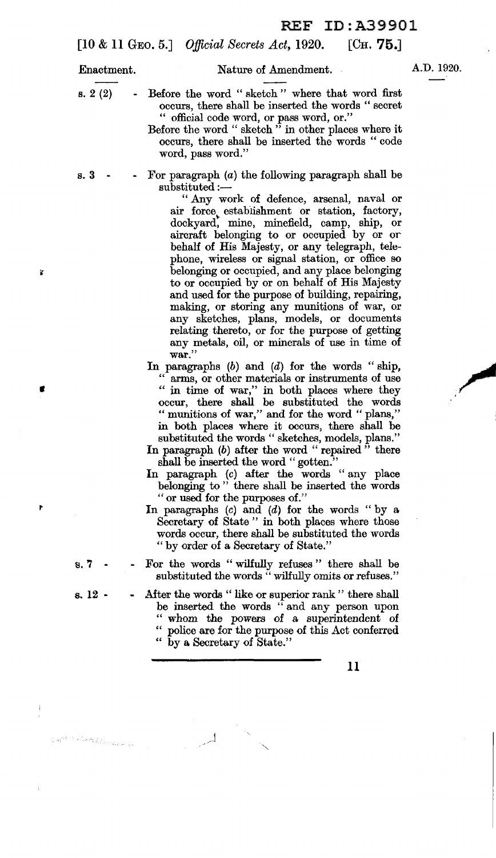[10 & 11 GEO. 5.] *Official Secrets Act,* 1920. [CH. 75.]

# Enactment. Nature of Amendment. A.D. 1920.

s. 2 (2)

s. 3

•

þ

s. 7

 $\lesssim \log^{2\alpha\sum_{i=1}^n\sum_{j=1}^n\sum_{j=1}^n\sum_{j=1}^n\sum_{j=1}^n\sum_{j=1}^n\sum_{j=1}^n\sum_{j=1}^n\sum_{j=1}^n\sum_{j=1}^n\sum_{j=1}^n\sum_{j=1}^n\sum_{j=1}^n\sum_{j=1}^n\sum_{j=1}^n\sum_{j=1}^n\sum_{j=1}^n\sum_{j=1}^n\sum_{j=1}^n\sum_{j=1}^n\sum_{j=1}^n\sum_{j=1}^n\sum_{j=1}^n\sum_{$ 

Before the word " sketch " where that word first occurs, there shall be inserted the words " secret " official code word, or pass word, or."

Before the word " sketch " in other places where it occurs, there shall be inserted the words "code word, pass word."

For paragraph  $(a)$  the following paragraph shall be substituted :-

> "Any work of defence, arsenal, naval or air force establishment or station, factory, dockyard: mine, minefield, camp, ship, or aircraft belonging to or occupied by or or behalf of His Majesty, or any telegraph, telephone, wireless or signal station, or office so belonging or occupied, and any place belonging to or occupied by or on behalf of His Majesty and used for the purpose of building, repairing, making, or storing any munitions of war, or any sketches, plans, models, or documents relating thereto, or for the purpose of getting any metals, oil, or minerals of use in time of war."

In paragraphs  $(b)$  and  $(d)$  for the words "ship, arms, or other materials or instruments of use " in time of war," in both places where they occur, there shall be substituted the words "munitions of war," and for the word "plans," in both places where it occurs, there shall be substituted the words " sketches, models, plans."

In paragraph (b) after the word " repaired " there shall be inserted the word "gotten."

In paragraph (c) after the words "any place belonging to '' there shall be inserted the words " or used for the purposes of."

In paragraphs  $(c)$  and  $(d)$  for the words " by a Secretary of State" in both places where those words occur, there shall be substituted the words "by order of a Secretary of State."

For the words " wilfully refuses" there shall be substituted the words " wilfully omits or refuses."

s. 12 - After the words " like or superior rank " there shall be inserted the words '' and any person upon " whom the powers of a superintendent of '' police are for the purpose of this Act conferred " by a Secretary of State."

 $\overline{\phantom{a}}$ 

11